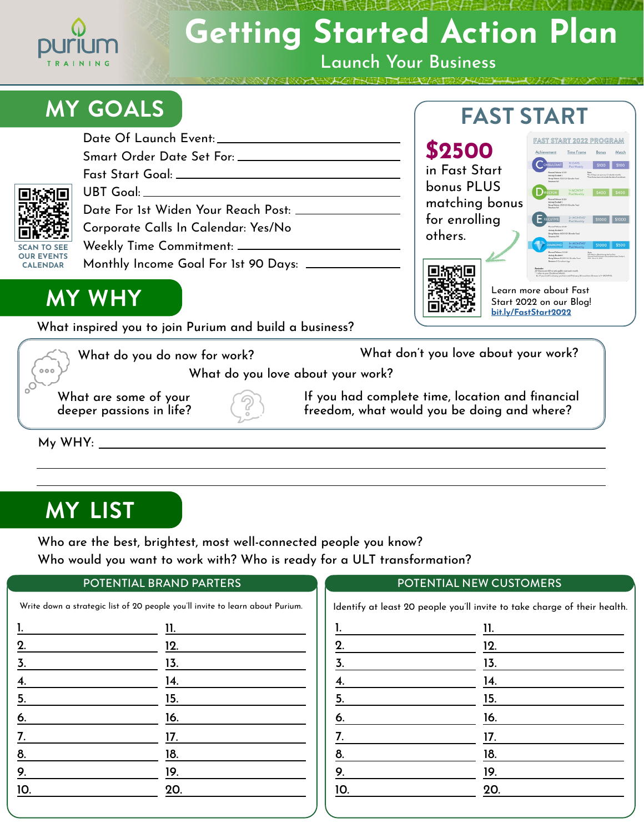

# **Getting Started Action Plan**

Launch Your Business

 $\sqrt{1 + |A|}$ 

# **MY GOALS**

|                                                            | Fast Start Goal: ____________________________       |
|------------------------------------------------------------|-----------------------------------------------------|
| 回放动回                                                       |                                                     |
| г                                                          | Date For 1st Widen Your Reach Post: _____________   |
| O)                                                         | Corporate Calls In Calendar: Yes/No                 |
| <b>SCAN TO SEE</b><br><b>OUR EVENTS</b><br><b>CALENDAR</b> |                                                     |
|                                                            | Monthly Income Goal For 1st 90 Days: ______________ |
|                                                            |                                                     |





Learn more about Fast Start 2022 on our Blog! **[bit.ly/FastStart2022](http://bit.ly/FastStart2022  )**

**FAST START** 

**MY WHY**

What inspired you to join Purium and build a business?

What do you do now for work?  $000$ 

What don't you love about your work?

What do you love about your work?

What are some of your deeper passions in life? If you had complete time, location and financial freedom, what would you be doing and where?

My WHY:

### **MY LIST**

Who are the best, brightest, most well-connected people you know? Who would you want to work with? Who is ready for a ULT transformation?

#### POTENTIAL BRAND PARTERS

| <u>l.</u>         | 11. |
|-------------------|-----|
| 2.                | 12. |
| $\overline{3}$ .  | 13. |
| $\underline{4}$ . | 14. |
| $\frac{5}{2}$     | 15. |
| 6.                | 16. |
| $\underline{7}$ . | 17. |
| <u>8.</u>         | 18. |
| $\overline{9}$ .  | 19. |
| 10.               | 20. |

#### POTENTIAL NEW CUSTOMERS

| 1.              | 11. |
|-----------------|-----|
|                 | 12. |
| $\frac{2}{3}$   | 13. |
| $\frac{4}{5}$ . | 14. |
|                 | 15. |
| 6.              | 16. |
| 7.              | 17. |
| $rac{8}{9}$ .   | 18. |
|                 | 19. |
| 10.             | 20. |